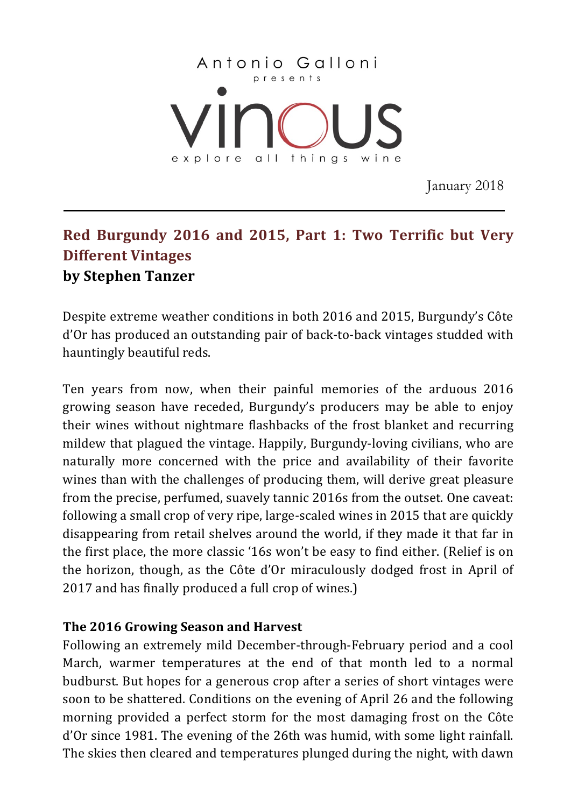

January 2018

# **Red Burgundy 2016 and 2015, Part 1: Two Terrific but Very Different Vintages by Stephen Tanzer**

Despite extreme weather conditions in both 2016 and 2015, Burgundy's Côte d'Or has produced an outstanding pair of back-to-back vintages studded with hauntingly beautiful reds.

Ten years from now, when their painful memories of the arduous 2016 growing season have receded, Burgundy's producers may be able to enjoy their wines without nightmare flashbacks of the frost blanket and recurring mildew that plagued the vintage. Happily, Burgundy-loving civilians, who are naturally more concerned with the price and availability of their favorite wines than with the challenges of producing them, will derive great pleasure from the precise, perfumed, suavely tannic 2016s from the outset. One caveat: following a small crop of very ripe, large-scaled wines in 2015 that are quickly disappearing from retail shelves around the world, if they made it that far in the first place, the more classic '16s won't be easy to find either. (Relief is on the horizon, though, as the Côte d'Or miraculously dodged frost in April of 2017 and has finally produced a full crop of wines.)

# **The 2016 Growing Season and Harvest**

Following an extremely mild December-through-February period and a cool March, warmer temperatures at the end of that month led to a normal budburst. But hopes for a generous crop after a series of short vintages were soon to be shattered. Conditions on the evening of April 26 and the following morning provided a perfect storm for the most damaging frost on the Côte d'Or since 1981. The evening of the 26th was humid, with some light rainfall. The skies then cleared and temperatures plunged during the night, with dawn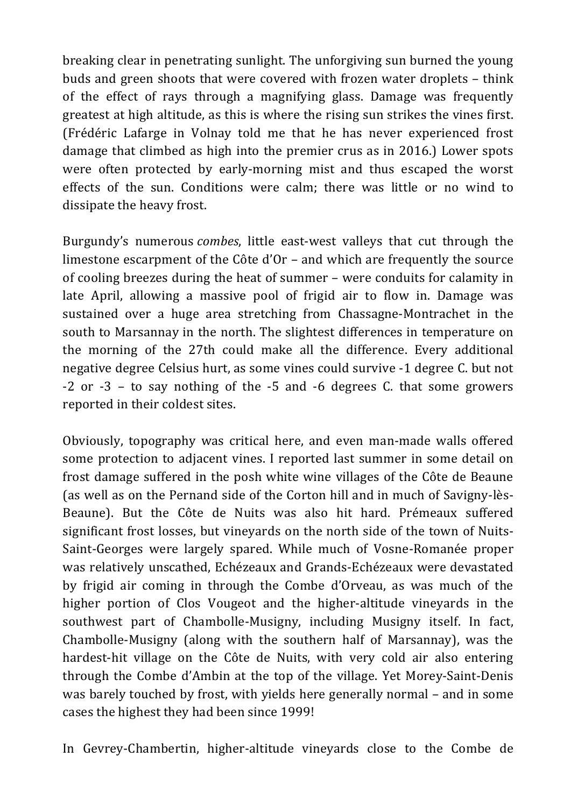breaking clear in penetrating sunlight. The unforgiving sun burned the young buds and green shoots that were covered with frozen water droplets – think of the effect of rays through a magnifying glass. Damage was frequently greatest at high altitude, as this is where the rising sun strikes the vines first. (Frédéric Lafarge in Volnay told me that he has never experienced frost damage that climbed as high into the premier crus as in 2016.) Lower spots were often protected by early-morning mist and thus escaped the worst effects of the sun. Conditions were calm; there was little or no wind to dissipate the heavy frost.

Burgundy's numerous *combes*, little east-west valleys that cut through the limestone escarpment of the  $C$ ôte d' $Or$  – and which are frequently the source of cooling breezes during the heat of summer – were conduits for calamity in late April, allowing a massive pool of frigid air to flow in. Damage was sustained over a huge area stretching from Chassagne-Montrachet in the south to Marsannay in the north. The slightest differences in temperature on the morning of the 27th could make all the difference. Every additional negative degree Celsius hurt, as some vines could survive -1 degree C. but not  $-2$  or  $-3$  – to say nothing of the  $-5$  and  $-6$  degrees C. that some growers reported in their coldest sites.

Obviously, topography was critical here, and even man-made walls offered some protection to adjacent vines. I reported last summer in some detail on frost damage suffered in the posh white wine villages of the Côte de Beaune (as well as on the Pernand side of the Corton hill and in much of Savigny-lès-Beaune). But the Côte de Nuits was also hit hard. Prémeaux suffered significant frost losses, but vinevards on the north side of the town of Nuits-Saint-Georges were largely spared. While much of Vosne-Romanée proper was relatively unscathed, Echézeaux and Grands-Echézeaux were devastated by frigid air coming in through the Combe d'Orveau, as was much of the higher portion of Clos Vougeot and the higher-altitude vineyards in the southwest part of Chambolle-Musigny, including Musigny itself. In fact, Chambolle-Musigny (along with the southern half of Marsannay), was the hardest-hit village on the Côte de Nuits, with very cold air also entering through the Combe d'Ambin at the top of the village. Yet Morey-Saint-Denis was barely touched by frost, with yields here generally normal – and in some cases the highest they had been since 1999!

In Gevrey-Chambertin, higher-altitude vineyards close to the Combe de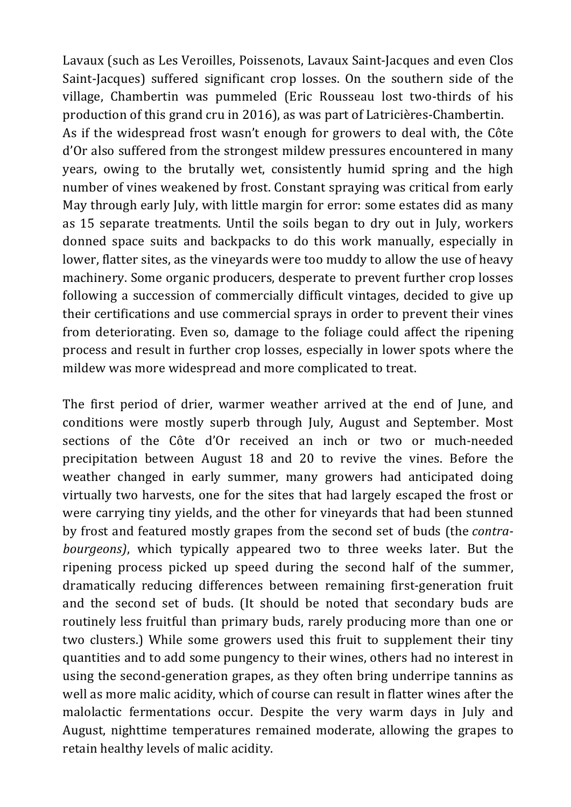Lavaux (such as Les Veroilles, Poissenots, Lavaux Saint-Jacques and even Clos Saint-Jacques) suffered significant crop losses. On the southern side of the village, Chambertin was pummeled (Eric Rousseau lost two-thirds of his production of this grand cru in 2016), as was part of Latricières-Chambertin. As if the widespread frost wasn't enough for growers to deal with, the Côte d'Or also suffered from the strongest mildew pressures encountered in many years, owing to the brutally wet, consistently humid spring and the high number of vines weakened by frost. Constant spraying was critical from early May through early July, with little margin for error: some estates did as many as 15 separate treatments. Until the soils began to dry out in July, workers donned space suits and backpacks to do this work manually, especially in lower, flatter sites, as the vineyards were too muddy to allow the use of heavy machinery. Some organic producers, desperate to prevent further crop losses following a succession of commercially difficult vintages, decided to give up their certifications and use commercial sprays in order to prevent their vines from deteriorating. Even so, damage to the foliage could affect the ripening process and result in further crop losses, especially in lower spots where the mildew was more widespread and more complicated to treat.

The first period of drier, warmer weather arrived at the end of June, and conditions were mostly superb through July, August and September. Most sections of the Côte d'Or received an inch or two or much-needed precipitation between August 18 and 20 to revive the vines. Before the weather changed in early summer, many growers had anticipated doing virtually two harvests, one for the sites that had largely escaped the frost or were carrying tiny yields, and the other for vineyards that had been stunned by frost and featured mostly grapes from the second set of buds (the *contrabourgeons*), which typically appeared two to three weeks later. But the ripening process picked up speed during the second half of the summer, dramatically reducing differences between remaining first-generation fruit and the second set of buds. (It should be noted that secondary buds are routinely less fruitful than primary buds, rarely producing more than one or two clusters.) While some growers used this fruit to supplement their tiny quantities and to add some pungency to their wines, others had no interest in using the second-generation grapes, as they often bring underripe tannins as well as more malic acidity, which of course can result in flatter wines after the malolactic fermentations occur. Despite the very warm days in July and August, nighttime temperatures remained moderate, allowing the grapes to retain healthy levels of malic acidity.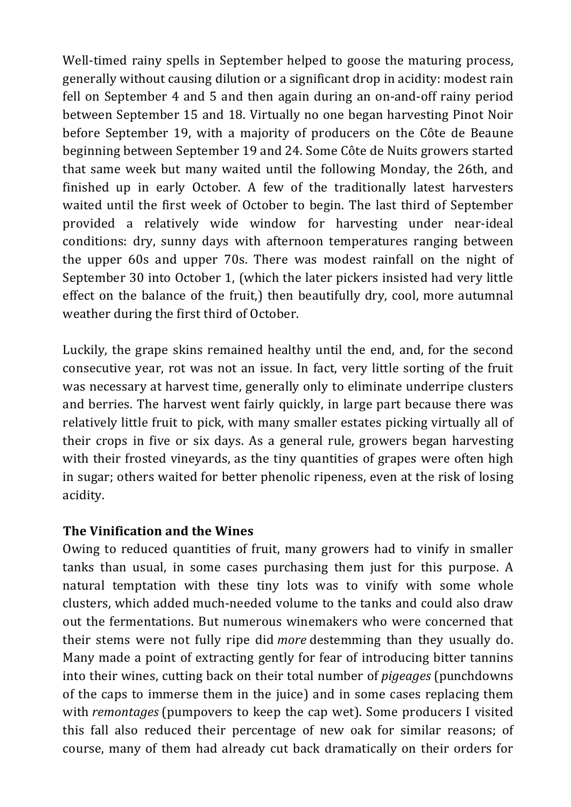Well-timed rainy spells in September helped to goose the maturing process, generally without causing dilution or a significant drop in acidity: modest rain fell on September 4 and 5 and then again during an on-and-off rainy period between September 15 and 18. Virtually no one began harvesting Pinot Noir before September 19, with a majority of producers on the Côte de Beaune beginning between September 19 and 24. Some Côte de Nuits growers started that same week but many waited until the following Monday, the 26th, and finished up in early October. A few of the traditionally latest harvesters waited until the first week of October to begin. The last third of September provided a relatively wide window for harvesting under near-ideal conditions: dry, sunny days with afternoon temperatures ranging between the upper  $60s$  and upper  $70s$ . There was modest rainfall on the night of September 30 into October 1, (which the later pickers insisted had very little effect on the balance of the fruit,) then beautifully dry, cool, more autumnal weather during the first third of October.

Luckily, the grape skins remained healthy until the end, and, for the second consecutive year, rot was not an issue. In fact, very little sorting of the fruit was necessary at harvest time, generally only to eliminate underripe clusters and berries. The harvest went fairly quickly, in large part because there was relatively little fruit to pick, with many smaller estates picking virtually all of their crops in five or six days. As a general rule, growers began harvesting with their frosted vineyards, as the tiny quantities of grapes were often high in sugar; others waited for better phenolic ripeness, even at the risk of losing acidity.

# **The Vinification and the Wines**

Owing to reduced quantities of fruit, many growers had to vinify in smaller tanks than usual, in some cases purchasing them just for this purpose. A natural temptation with these tiny lots was to vinify with some whole clusters, which added much-needed volume to the tanks and could also draw out the fermentations. But numerous winemakers who were concerned that their stems were not fully ripe did *more* destemming than they usually do. Many made a point of extracting gently for fear of introducing bitter tannins into their wines, cutting back on their total number of *pigeages* (punchdowns of the caps to immerse them in the juice) and in some cases replacing them with *remontages* (pumpovers to keep the cap wet). Some producers I visited this fall also reduced their percentage of new oak for similar reasons; of course, many of them had already cut back dramatically on their orders for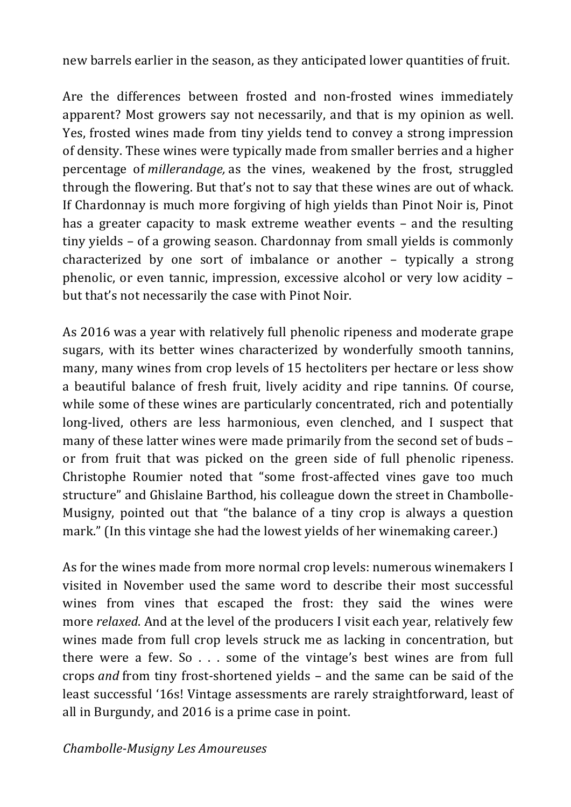new barrels earlier in the season, as they anticipated lower quantities of fruit.

Are the differences between frosted and non-frosted wines immediately apparent? Most growers say not necessarily, and that is my opinion as well. Yes, frosted wines made from tiny yields tend to convey a strong impression of density. These wines were typically made from smaller berries and a higher percentage of *millerandage*, as the vines, weakened by the frost, struggled through the flowering. But that's not to say that these wines are out of whack. If Chardonnay is much more forgiving of high yields than Pinot Noir is, Pinot has a greater capacity to mask extreme weather events – and the resulting tiny yields – of a growing season. Chardonnay from small yields is commonly characterized by one sort of imbalance or another  $-$  typically a strong phenolic, or even tannic, impression, excessive alcohol or very low acidity – but that's not necessarily the case with Pinot Noir.

As 2016 was a year with relatively full phenolic ripeness and moderate grape sugars, with its better wines characterized by wonderfully smooth tannins, many, many wines from crop levels of 15 hectoliters per hectare or less show a beautiful balance of fresh fruit, lively acidity and ripe tannins. Of course, while some of these wines are particularly concentrated, rich and potentially long-lived, others are less harmonious, even clenched, and I suspect that many of these latter wines were made primarily from the second set of buds or from fruit that was picked on the green side of full phenolic ripeness. Christophe Roumier noted that "some frost-affected vines gave too much structure" and Ghislaine Barthod, his colleague down the street in Chambolle-Musigny, pointed out that "the balance of a tiny crop is always a question mark." (In this vintage she had the lowest yields of her winemaking career.)

As for the wines made from more normal crop levels: numerous winemakers I visited in November used the same word to describe their most successful wines from vines that escaped the frost: they said the wines were more *relaxed*. And at the level of the producers I visit each year, relatively few wines made from full crop levels struck me as lacking in concentration, but there were a few. So  $\ldots$  some of the vintage's best wines are from full crops *and* from tiny frost-shortened yields – and the same can be said of the least successful '16s! Vintage assessments are rarely straightforward, least of all in Burgundy, and 2016 is a prime case in point.

# *Chambolle-Musigny Les Amoureuses*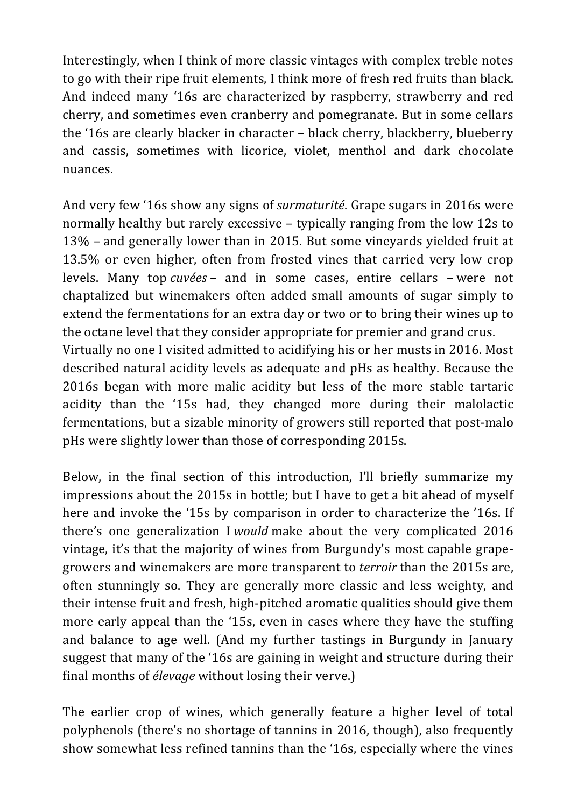Interestingly, when I think of more classic vintages with complex treble notes to go with their ripe fruit elements, I think more of fresh red fruits than black. And indeed many '16s are characterized by raspberry, strawberry and red cherry, and sometimes even cranberry and pomegranate. But in some cellars the '16s are clearly blacker in character  $-$  black cherry, blackberry, blueberry and cassis, sometimes with licorice, violet, menthol and dark chocolate nuances.

And very few '16s show any signs of *surmaturité*. Grape sugars in 2016s were normally healthy but rarely excessive – typically ranging from the low 12s to  $13\%$  – and generally lower than in 2015. But some vineyards yielded fruit at 13.5% or even higher, often from frosted vines that carried very low crop levels. Many top *cuvées* – and in some cases, entire cellars – were not chaptalized but winemakers often added small amounts of sugar simply to extend the fermentations for an extra day or two or to bring their wines up to the octane level that they consider appropriate for premier and grand crus.

Virtually no one I visited admitted to acidifying his or her musts in 2016. Most described natural acidity levels as adequate and pHs as healthy. Because the 2016s began with more malic acidity but less of the more stable tartaric acidity than the '15s had, they changed more during their malolactic fermentations, but a sizable minority of growers still reported that post-malo pHs were slightly lower than those of corresponding 2015s.

Below, in the final section of this introduction, I'll briefly summarize my impressions about the 2015s in bottle; but I have to get a bit ahead of myself here and invoke the '15s by comparison in order to characterize the '16s. If there's one generalization I *would* make about the very complicated 2016 vintage, it's that the majority of wines from Burgundy's most capable grapegrowers and winemakers are more transparent to *terroir* than the 2015s are, often stunningly so. They are generally more classic and less weighty, and their intense fruit and fresh, high-pitched aromatic qualities should give them more early appeal than the '15s, even in cases where they have the stuffing and balance to age well. (And my further tastings in Burgundy in January suggest that many of the '16s are gaining in weight and structure during their final months of *élevage* without losing their verve.)

The earlier crop of wines, which generally feature a higher level of total polyphenols (there's no shortage of tannins in 2016, though), also frequently show somewhat less refined tannins than the '16s, especially where the vines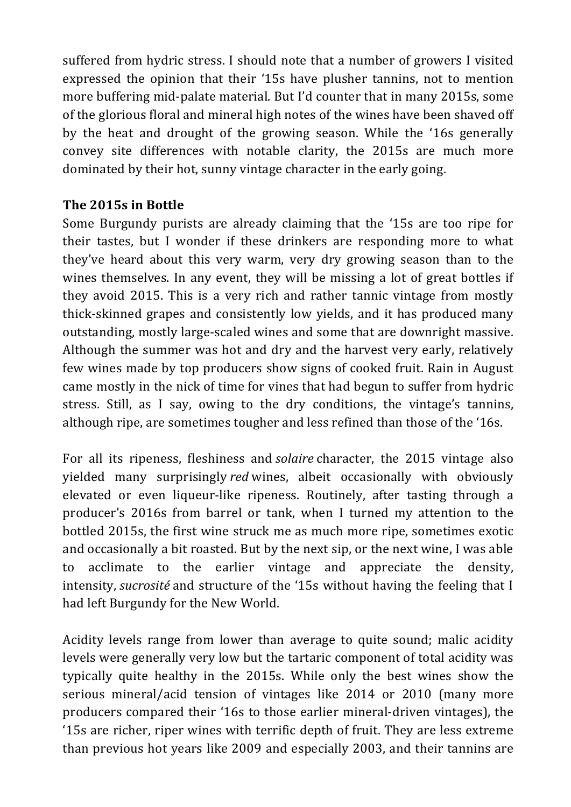suffered from hydric stress. I should note that a number of growers I visited expressed the opinion that their '15s have plusher tannins, not to mention more buffering mid-palate material. But I'd counter that in many 2015s, some of the glorious floral and mineral high notes of the wines have been shaved off by the heat and drought of the growing season. While the '16s generally convey site differences with notable clarity, the 2015s are much more dominated by their hot, sunny vintage character in the early going.

# **The 2015s in Bottle**

Some Burgundy purists are already claiming that the '15s are too ripe for their tastes, but I wonder if these drinkers are responding more to what they've heard about this very warm, very dry growing season than to the wines themselves. In any event, they will be missing a lot of great bottles if they avoid 2015. This is a very rich and rather tannic vintage from mostly thick-skinned grapes and consistently low yields, and it has produced many outstanding, mostly large-scaled wines and some that are downright massive. Although the summer was hot and dry and the harvest very early, relatively few wines made by top producers show signs of cooked fruit. Rain in August came mostly in the nick of time for vines that had begun to suffer from hydric stress. Still, as I say, owing to the dry conditions, the vintage's tannins, although ripe, are sometimes tougher and less refined than those of the '16s.

For all its ripeness, fleshiness and *solaire* character, the 2015 vintage also yielded many surprisingly *red* wines, albeit occasionally with obviously elevated or even liqueur-like ripeness. Routinely, after tasting through a producer's 2016s from barrel or tank, when I turned my attention to the bottled 2015s, the first wine struck me as much more ripe, sometimes exotic and occasionally a bit roasted. But by the next sip, or the next wine, I was able to acclimate to the earlier vintage and appreciate the density, intensity, *sucrosité* and structure of the '15s without having the feeling that I had left Burgundy for the New World.

Acidity levels range from lower than average to quite sound; malic acidity levels were generally very low but the tartaric component of total acidity was typically quite healthy in the 2015s. While only the best wines show the serious mineral/acid tension of vintages like 2014 or 2010 (many more producers compared their '16s to those earlier mineral-driven vintages), the '15s are richer, riper wines with terrific depth of fruit. They are less extreme than previous hot years like 2009 and especially 2003, and their tannins are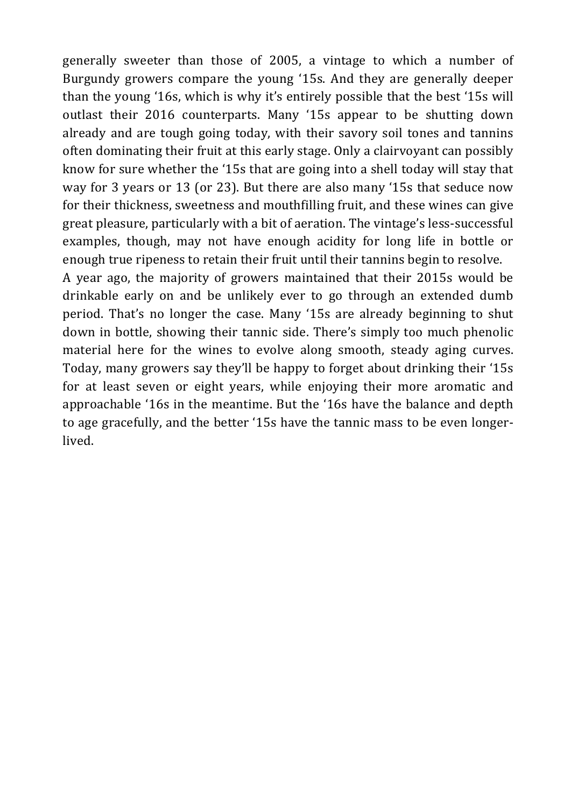generally sweeter than those of 2005, a vintage to which a number of Burgundy growers compare the young '15s. And they are generally deeper than the young '16s, which is why it's entirely possible that the best '15s will outlast their 2016 counterparts. Many '15s appear to be shutting down already and are tough going today, with their savory soil tones and tannins often dominating their fruit at this early stage. Only a clairvoyant can possibly know for sure whether the '15s that are going into a shell today will stay that way for 3 years or 13 (or 23). But there are also many '15s that seduce now for their thickness, sweetness and mouthfilling fruit, and these wines can give great pleasure, particularly with a bit of aeration. The vintage's less-successful examples, though, may not have enough acidity for long life in bottle or enough true ripeness to retain their fruit until their tannins begin to resolve.

A year ago, the majority of growers maintained that their 2015s would be drinkable early on and be unlikely ever to go through an extended dumb period. That's no longer the case. Many '15s are already beginning to shut down in bottle, showing their tannic side. There's simply too much phenolic material here for the wines to evolve along smooth, steady aging curves. Today, many growers say they'll be happy to forget about drinking their '15s for at least seven or eight years, while enjoying their more aromatic and approachable '16s in the meantime. But the '16s have the balance and depth to age gracefully, and the better '15s have the tannic mass to be even longerlived.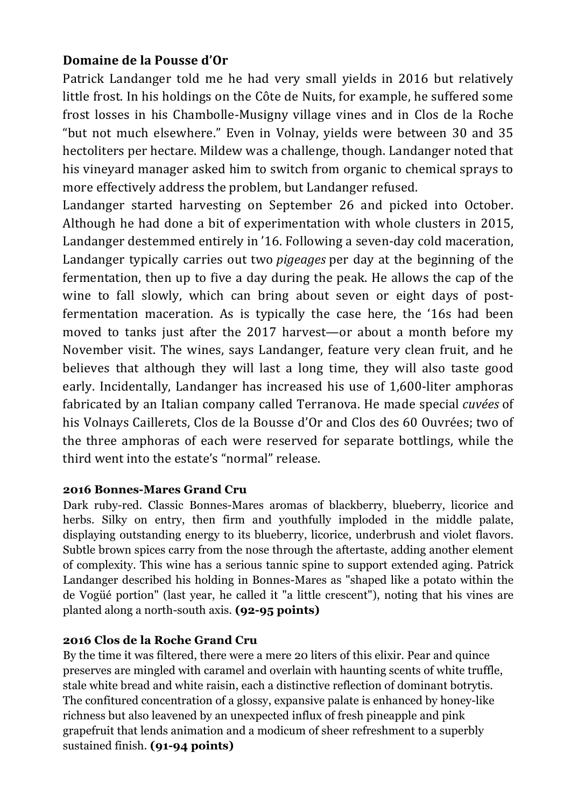# **Domaine de la Pousse d'Or**

Patrick Landanger told me he had very small yields in 2016 but relatively little frost. In his holdings on the Côte de Nuits, for example, he suffered some frost losses in his Chambolle-Musigny village vines and in Clos de la Roche "but not much elsewhere." Even in Volnay, vields were between 30 and 35 hectoliters per hectare. Mildew was a challenge, though. Landanger noted that his vineyard manager asked him to switch from organic to chemical sprays to more effectively address the problem, but Landanger refused.

Landanger started harvesting on September 26 and picked into October. Although he had done a bit of experimentation with whole clusters in 2015, Landanger destemmed entirely in '16. Following a seven-day cold maceration, Landanger typically carries out two *pigeages* per day at the beginning of the fermentation, then up to five a day during the peak. He allows the cap of the wine to fall slowly, which can bring about seven or eight days of postfermentation maceration. As is typically the case here, the '16s had been moved to tanks just after the 2017 harvest—or about a month before my November visit. The wines, says Landanger, feature very clean fruit, and he believes that although they will last a long time, they will also taste good early. Incidentally, Landanger has increased his use of 1,600-liter amphoras fabricated by an Italian company called Terranova. He made special *cuvées* of his Volnays Caillerets, Clos de la Bousse d'Or and Clos des 60 Ouvrées; two of the three amphoras of each were reserved for separate bottlings, while the third went into the estate's "normal" release.

# **2016 Bonnes-Mares Grand Cru**

Dark ruby-red. Classic Bonnes-Mares aromas of blackberry, blueberry, licorice and herbs. Silky on entry, then firm and youthfully imploded in the middle palate, displaying outstanding energy to its blueberry, licorice, underbrush and violet flavors. Subtle brown spices carry from the nose through the aftertaste, adding another element of complexity. This wine has a serious tannic spine to support extended aging. Patrick Landanger described his holding in Bonnes-Mares as "shaped like a potato within the de Vogüé portion" (last year, he called it "a little crescent"), noting that his vines are planted along a north-south axis. **(92-95 points)**

# **2016 Clos de la Roche Grand Cru**

By the time it was filtered, there were a mere 20 liters of this elixir. Pear and quince preserves are mingled with caramel and overlain with haunting scents of white truffle, stale white bread and white raisin, each a distinctive reflection of dominant botrytis. The confitured concentration of a glossy, expansive palate is enhanced by honey-like richness but also leavened by an unexpected influx of fresh pineapple and pink grapefruit that lends animation and a modicum of sheer refreshment to a superbly sustained finish. **(91-94 points)**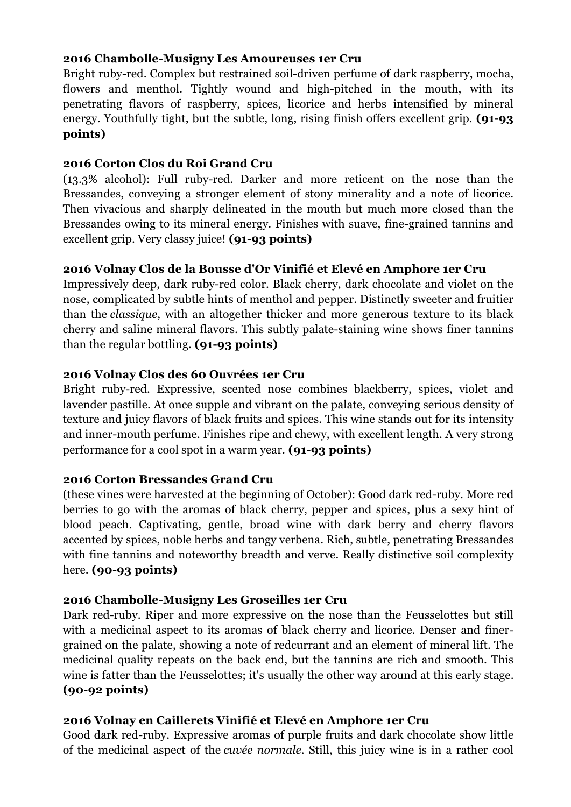### **2016 Chambolle-Musigny Les Amoureuses 1er Cru**

Bright ruby-red. Complex but restrained soil-driven perfume of dark raspberry, mocha, flowers and menthol. Tightly wound and high-pitched in the mouth, with its penetrating flavors of raspberry, spices, licorice and herbs intensified by mineral energy. Youthfully tight, but the subtle, long, rising finish offers excellent grip. **(91-93 points)**

### **2016 Corton Clos du Roi Grand Cru**

(13.3% alcohol): Full ruby-red. Darker and more reticent on the nose than the Bressandes, conveying a stronger element of stony minerality and a note of licorice. Then vivacious and sharply delineated in the mouth but much more closed than the Bressandes owing to its mineral energy. Finishes with suave, fine-grained tannins and excellent grip. Very classy juice! **(91-93 points)**

### **2016 Volnay Clos de la Bousse d'Or Vinifié et Elevé en Amphore 1er Cru**

Impressively deep, dark ruby-red color. Black cherry, dark chocolate and violet on the nose, complicated by subtle hints of menthol and pepper. Distinctly sweeter and fruitier than the *classique*, with an altogether thicker and more generous texture to its black cherry and saline mineral flavors. This subtly palate-staining wine shows finer tannins than the regular bottling. **(91-93 points)**

### **2016 Volnay Clos des 60 Ouvrées 1er Cru**

Bright ruby-red. Expressive, scented nose combines blackberry, spices, violet and lavender pastille. At once supple and vibrant on the palate, conveying serious density of texture and juicy flavors of black fruits and spices. This wine stands out for its intensity and inner-mouth perfume. Finishes ripe and chewy, with excellent length. A very strong performance for a cool spot in a warm year. **(91-93 points)**

#### **2016 Corton Bressandes Grand Cru**

(these vines were harvested at the beginning of October): Good dark red-ruby. More red berries to go with the aromas of black cherry, pepper and spices, plus a sexy hint of blood peach. Captivating, gentle, broad wine with dark berry and cherry flavors accented by spices, noble herbs and tangy verbena. Rich, subtle, penetrating Bressandes with fine tannins and noteworthy breadth and verve. Really distinctive soil complexity here. **(90-93 points)**

# **2016 Chambolle-Musigny Les Groseilles 1er Cru**

Dark red-ruby. Riper and more expressive on the nose than the Feusselottes but still with a medicinal aspect to its aromas of black cherry and licorice. Denser and finergrained on the palate, showing a note of redcurrant and an element of mineral lift. The medicinal quality repeats on the back end, but the tannins are rich and smooth. This wine is fatter than the Feusselottes; it's usually the other way around at this early stage. **(90-92 points)**

#### **2016 Volnay en Caillerets Vinifié et Elevé en Amphore 1er Cru**

Good dark red-ruby. Expressive aromas of purple fruits and dark chocolate show little of the medicinal aspect of the *cuvée normale*. Still, this juicy wine is in a rather cool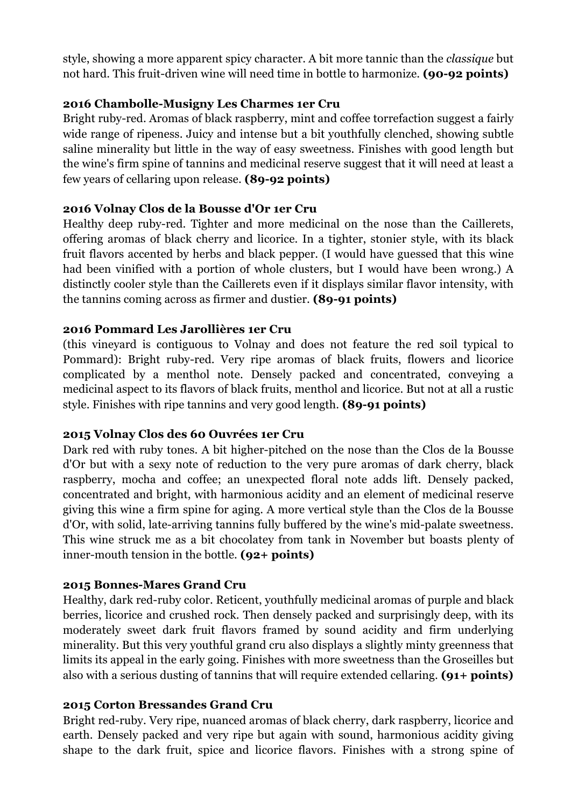style, showing a more apparent spicy character. A bit more tannic than the *classique* but not hard. This fruit-driven wine will need time in bottle to harmonize. **(90-92 points)**

# **2016 Chambolle-Musigny Les Charmes 1er Cru**

Bright ruby-red. Aromas of black raspberry, mint and coffee torrefaction suggest a fairly wide range of ripeness. Juicy and intense but a bit youthfully clenched, showing subtle saline minerality but little in the way of easy sweetness. Finishes with good length but the wine's firm spine of tannins and medicinal reserve suggest that it will need at least a few years of cellaring upon release. **(89-92 points)**

### **2016 Volnay Clos de la Bousse d'Or 1er Cru**

Healthy deep ruby-red. Tighter and more medicinal on the nose than the Caillerets, offering aromas of black cherry and licorice. In a tighter, stonier style, with its black fruit flavors accented by herbs and black pepper. (I would have guessed that this wine had been vinified with a portion of whole clusters, but I would have been wrong.) A distinctly cooler style than the Caillerets even if it displays similar flavor intensity, with the tannins coming across as firmer and dustier. **(89-91 points)**

### **2016 Pommard Les Jarollières 1er Cru**

(this vineyard is contiguous to Volnay and does not feature the red soil typical to Pommard): Bright ruby-red. Very ripe aromas of black fruits, flowers and licorice complicated by a menthol note. Densely packed and concentrated, conveying a medicinal aspect to its flavors of black fruits, menthol and licorice. But not at all a rustic style. Finishes with ripe tannins and very good length. **(89-91 points)**

#### **2015 Volnay Clos des 60 Ouvrées 1er Cru**

Dark red with ruby tones. A bit higher-pitched on the nose than the Clos de la Bousse d'Or but with a sexy note of reduction to the very pure aromas of dark cherry, black raspberry, mocha and coffee; an unexpected floral note adds lift. Densely packed, concentrated and bright, with harmonious acidity and an element of medicinal reserve giving this wine a firm spine for aging. A more vertical style than the Clos de la Bousse d'Or, with solid, late-arriving tannins fully buffered by the wine's mid-palate sweetness. This wine struck me as a bit chocolatey from tank in November but boasts plenty of inner-mouth tension in the bottle. **(92+ points)**

#### **2015 Bonnes-Mares Grand Cru**

Healthy, dark red-ruby color. Reticent, youthfully medicinal aromas of purple and black berries, licorice and crushed rock. Then densely packed and surprisingly deep, with its moderately sweet dark fruit flavors framed by sound acidity and firm underlying minerality. But this very youthful grand cru also displays a slightly minty greenness that limits its appeal in the early going. Finishes with more sweetness than the Groseilles but also with a serious dusting of tannins that will require extended cellaring. **(91+ points)**

#### **2015 Corton Bressandes Grand Cru**

Bright red-ruby. Very ripe, nuanced aromas of black cherry, dark raspberry, licorice and earth. Densely packed and very ripe but again with sound, harmonious acidity giving shape to the dark fruit, spice and licorice flavors. Finishes with a strong spine of